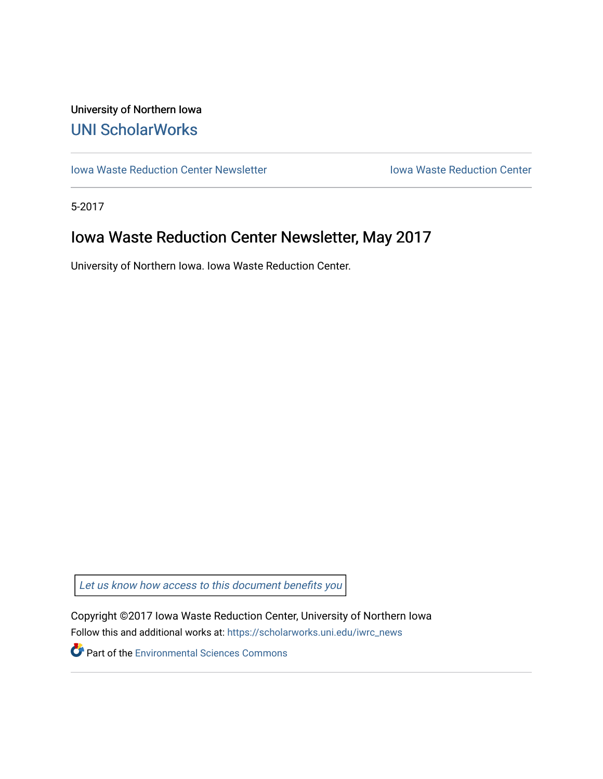## University of Northern Iowa [UNI ScholarWorks](https://scholarworks.uni.edu/)

[Iowa Waste Reduction Center Newsletter](https://scholarworks.uni.edu/iwrc_news) **Internal Communist Communist Center** Iowa Waste Reduction Center

5-2017

# Iowa Waste Reduction Center Newsletter, May 2017

University of Northern Iowa. Iowa Waste Reduction Center.

Let us know how access to this document benefits you

Copyright ©2017 Iowa Waste Reduction Center, University of Northern Iowa Follow this and additional works at: [https://scholarworks.uni.edu/iwrc\\_news](https://scholarworks.uni.edu/iwrc_news?utm_source=scholarworks.uni.edu%2Fiwrc_news%2F8&utm_medium=PDF&utm_campaign=PDFCoverPages) 

**Part of the [Environmental Sciences Commons](http://network.bepress.com/hgg/discipline/167?utm_source=scholarworks.uni.edu%2Fiwrc_news%2F8&utm_medium=PDF&utm_campaign=PDFCoverPages)**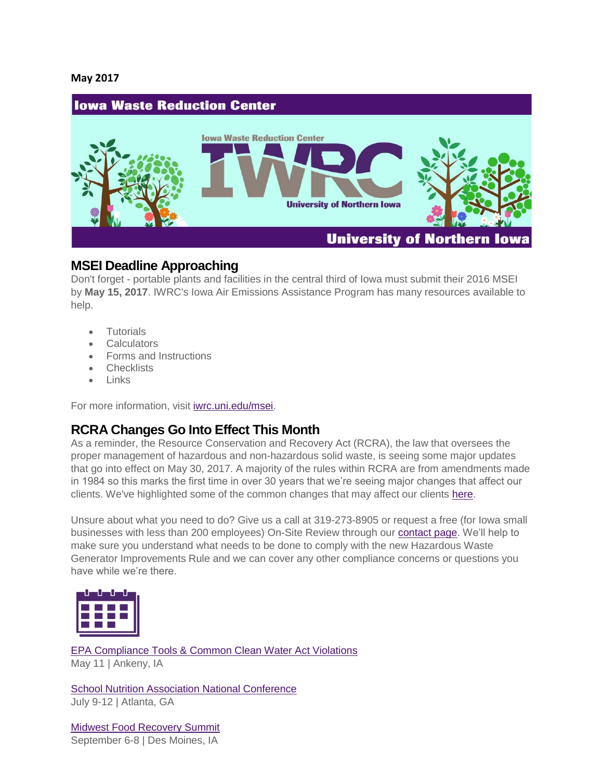#### **May 2017**



#### **MSEI Deadline Approaching**

Don't forget - portable plants and facilities in the central third of Iowa must submit their 2016 MSEI by **May 15, 2017**. IWRC's Iowa Air Emissions Assistance Program has many resources available to help.

- **Tutorials**
- Calculators
- Forms and Instructions
- Checklists
- Links

For more information, visit [iwrc.uni.edu/msei.](http://iwrc.uni.edu/msei)

### **RCRA Changes Go Into Effect This Month**

As a reminder, the Resource Conservation and Recovery Act (RCRA), the law that oversees the proper management of hazardous and non-hazardous solid waste, is seeing some major updates that go into effect on May 30, 2017. A majority of the rules within RCRA are from amendments made in 1984 so this marks the first time in over 30 years that we're seeing major changes that affect our clients. We've highlighted some of the common changes that may affect our clients [here.](https://iwrc.uni.edu/upcoming-rcra-changes-and-how-they%E2%80%99ll-affect-your-business)

Unsure about what you need to do? Give us a call at 319-273-8905 or request a free (for Iowa small businesses with less than 200 employees) On-Site Review through our [contact page.](https://iwrc.uni.edu/contact-us) We'll help to make sure you understand what needs to be done to comply with the new Hazardous Waste Generator Improvements Rule and we can cover any other compliance concerns or questions you have while we're there.



[EPA Compliance Tools & Common Clean Water Act Violations](http://www.iowadnr.gov/Environmental-Protection/Land-Quality/Waste-Planning-Recycling/Pollution-Prevention-P2/P2-Workshops-Conf) May 11 | Ankeny, IA

[School Nutrition Association National Conference](https://iwrc.uni.edu/school-nutrition-association-national-conference) July 9-12 | Atlanta, GA

[Midwest Food Recovery Summit](http://iwrc.uni.edu/foodrecoverysummit) September 6-8 | Des Moines, IA